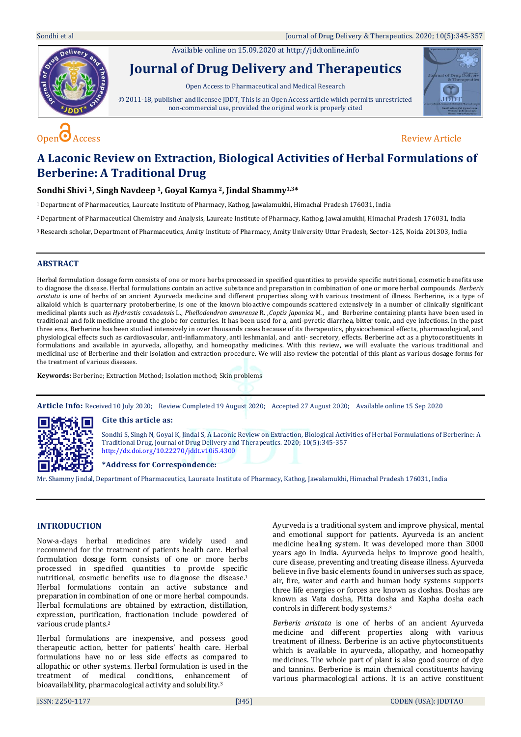Sondhi et al Journal of Drug Delivery & Therapeutics. 2020; 10(5):345-357

Available online on 15.09.2020 a[t http://jddtonline.info](http://jddtonline.info/)



# **Journal of Drug Delivery and Therapeutics**

Open Access to Pharmaceutical and Medical Research

© 2011-18, publisher and licensee JDDT, This is an Open Access article which permits unrestricted non-commercial use, provided the original work is properly cited





# **A Laconic Review on Extraction, Biological Activities of Herbal Formulations of Berberine: A Traditional Drug**

# **Sondhi Shivi 1, Singh Navdeep 1, Goyal Kamya 2, Jindal Shammy1,3\***

<sup>1</sup>Department of Pharmaceutics, Laureate Institute of Pharmacy, Kathog, Jawalamukhi, Himachal Pradesh 176031, India

<sup>2</sup>Department of Pharmaceutical Chemistry and Analysis, Laureate Institute of Pharmacy, Kathog, Jawalamukhi, Himachal Pradesh 176031, India

<sup>3</sup>Research scholar, Department of Pharmaceutics, Amity Institute of Pharmacy, Amity University Uttar Pradesh, Sector-125, Noida 201303, India

# **ABSTRACT**

Herbal formulation dosage form consists of one or more herbs processed in specified quantities to provide specific nutritional, cosmetic benefits use to diagnose the disease. Herbal formulations contain an active substance and preparation in combination of one or more herbal compounds. *Berberis aristata* is one of herbs of an ancient Ayurveda medicine and different properties along with various treatment of illness. Berberine, is a type of alkaloid which is quarternary protoberberine, is one of the known bioactive compounds scattered extensively in a number of clinically significant medicinal plants such as *Hydrastis canadensis* L., *Phellodendron amurense* R. ,*Coptis japonica* M., and Berberine containing plants have been used in traditional and folk medicine around the globe for centuries. It has been used for a, anti-pyretic diarrhea, bitter tonic, and eye infections. In the past three eras, Berberine has been studied intensively in over thousands cases because of its therapeutics, physicochemical effects, pharmacological, and physiological effects such as cardiovascular, anti-inflammatory, anti leshmanial, and anti- secretory, effects. Berberine act as a phytoconstituents in formulations and available in ayurveda, allopathy, and homeopathy medicines. With this review, we will evaluate the various traditional and medicinal use of Berberine and their isolation and extraction procedure. We will also review the potential of this plant as various dosage forms for the treatment of various diseases.

**Keywords:** Berberine; Extraction Method; Isolation method; Skin problems

**Article Info:** Received 10 July 2020; Review Completed 19 August 2020; Accepted 27 August 2020; Available online 15 Sep 2020



#### **Cite this article as:**

Sondhi S, Singh N, Goyal K, Jindal S, A Laconic Review on Extraction, Biological Activities of Herbal Formulations of Berberine: A Traditional Drug, Journal of Drug Delivery and Therapeutics. 2020; 10(5):345-357 <http://dx.doi.org/10.22270/jddt.v10i5.4300>

#### **\*Address for Correspondence:**

Mr. Shammy Jindal, Department of Pharmaceutics, Laureate Institute of Pharmacy, Kathog, Jawalamukhi, Himachal Pradesh 176031, India

# **INTRODUCTION**

Now-a-days herbal medicines are widely used and recommend for the treatment of patients health care. Herbal formulation dosage form consists of one or more herbs processed in specified quantities to provide specific nutritional, cosmetic benefits use to diagnose the disease. 1 Herbal formulations contain an active substance and preparation in combination of one or more herbal compounds. Herbal formulations are obtained by extraction, distillation, expression, purification, fractionation include powdered of various crude plants. 2

Herbal formulations are inexpensive, and possess good therapeutic action, better for patients' health care. Herbal formulations have no or less side effects as compared to allopathic or other systems. Herbal formulation is used in the treatment of medical conditions, enhancement of bioavailability, pharmacological activity and solubility.<sup>3</sup>

Ayurveda is a traditional system and improve physical, mental and emotional support for patients. Ayurveda is an ancient medicine healing system. It was developed more than 3000 years ago in India. Ayurveda helps to improve good health, cure disease, preventing and treating disease illness. Ayurveda believe in five basic elements found in universes such as space, air, fire, water and earth and human body systems supports three life energies or forces are known as doshas. Doshas are known as Vata dosha, Pitta dosha and Kapha dosha each controls in different body systems. 3

*Berberis aristata* is one of herbs of an ancient Ayurveda medicine and different properties along with various treatment of illness. Berberine is an active phytoconstituents which is available in ayurveda, allopathy, and homeopathy medicines. The whole part of plant is also good source of dye and tannins. Berberine is main chemical constituents having various pharmacological actions. It is an active constituent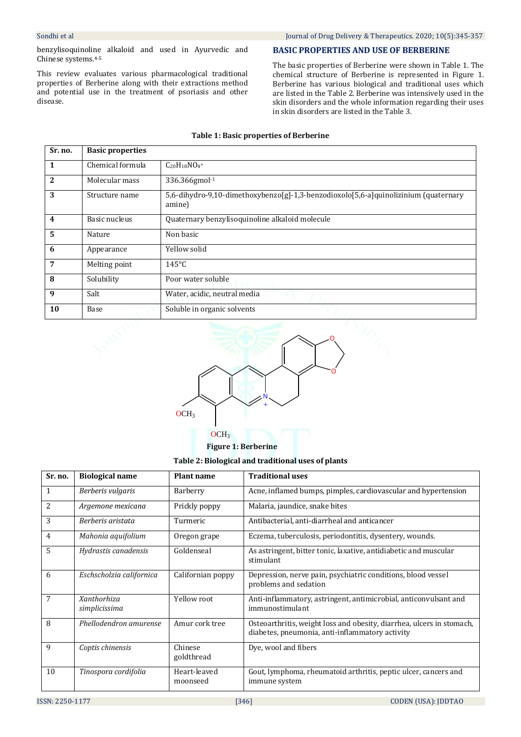benzylisoquinoline alkaloid and used in Ayurvedic and Chinese systems.4-5

This review evaluates various pharmacological traditional properties of Berberine along with their extractions method and potential use in the treatment of psoriasis and other disease.

## **BASIC PROPERTIES AND USE OF BERBERINE**

The basic properties of Berberine were shown in Table 1. The chemical structure of Berberine is represented in Figure 1. Berberine has various biological and traditional uses which are listed in the Table 2. Berberine was intensively used in the skin disorders and the whole information regarding their uses in skin disorders are listed in the Table 3.

# **Table 1: Basic properties of Berberine**

| Sr. no.        | <b>Basic properties</b> |                                                                                                  |
|----------------|-------------------------|--------------------------------------------------------------------------------------------------|
| 1              | Chemical formula        | $C_{20}H_{18}NO_4$ +                                                                             |
| 2              | Molecular mass          | 336.366gmol-1                                                                                    |
| 3              | Structure name          | $5,6$ -dihydro-9,10-dimethoxybenzo[g]-1,3-benzodioxolo[5,6-a]quinolizinium (quaternary<br>amine) |
| $\overline{4}$ | Basic nucleus           | Quaternary benzylisoquinoline alkaloid molecule                                                  |
| 5              | Nature                  | Non basic                                                                                        |
| 6              | Appearance              | Yellow solid                                                                                     |
| 7              | Melting point           | $145^{\circ}$ C                                                                                  |
| 8              | Solubility              | Poor water soluble                                                                               |
| 9              | Salt                    | Water, acidic, neutral media                                                                     |
| 10             | Base                    | Soluble in organic solvents                                                                      |



**Figure 1: Berberine** 

**Table 2: Biological and traditional uses of plants**

| Sr. no. | <b>Biological name</b>       | <b>Plant name</b>        | <b>Traditional uses</b>                                                                                                  |
|---------|------------------------------|--------------------------|--------------------------------------------------------------------------------------------------------------------------|
| 1       | Berberis vulgaris            | Barberry                 | Acne, inflamed bumps, pimples, cardiovascular and hypertension                                                           |
| 2       | Argemone mexicana            | Prickly poppy            | Malaria, jaundice, snake bites                                                                                           |
| 3       | Berberis aristata            | Turmeric                 | Antibacterial, anti-diarrheal and anticancer                                                                             |
| 4       | Mahonia aquifolium           | Oregon grape             | Eczema, tuberculosis, periodontitis, dysentery, wounds.                                                                  |
| 5       | Hydrastis canadensis         | Goldenseal               | As astringent, bitter tonic, laxative, antidiabetic and muscular<br>stimulant                                            |
| 6       | Eschscholzia californica     | Californian poppy        | Depression, nerve pain, psychiatric conditions, blood vessel<br>problems and sedation                                    |
| 7       | Xanthorhiza<br>simplicissima | Yellow root              | Anti-inflammatory, astringent, antimicrobial, anticonvulsant and<br>immunostimulant                                      |
| 8       | Phellodendron amurense       | Amur cork tree           | Osteoarthritis, weight loss and obesity, diarrhea, ulcers in stomach,<br>diabetes, pneumonia, anti-inflammatory activity |
| 9       | Coptis chinensis             | Chinese<br>goldthread    | Dye, wool and fibers                                                                                                     |
| 10      | Tinospora cordifolia         | Heart-leaved<br>moonseed | Gout, lymphoma, rheumatoid arthritis, peptic ulcer, cancers and<br>immune system                                         |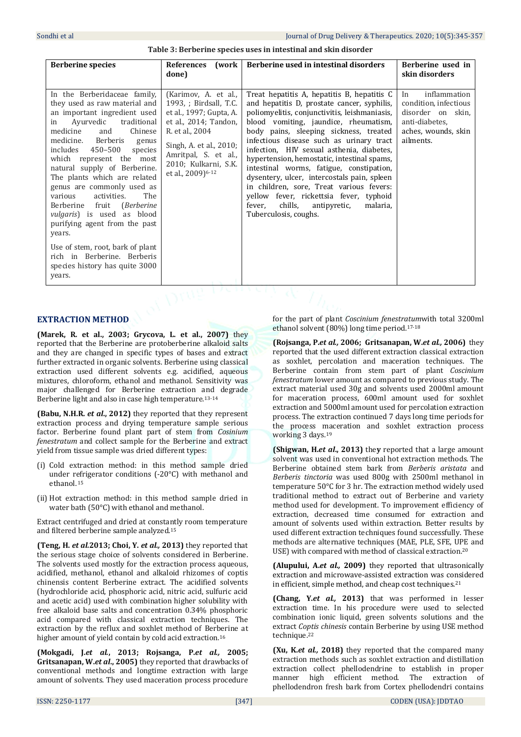# **Table 3: Berberine species uses in intestinal and skin disorder**

| <b>Berberine species</b>                                                                                                                                                                                                                                                                                                                                                                                                                                                                                                                                                                                                   | <b>References</b><br>(work<br>done)                                                                                                                                                                                               | Berberine used in intestinal disorders                                                                                                                                                                                                                                                                                                                                                                                                                                                                                                                                                                                             | Berberine used in<br>skin disorders                                                                                       |
|----------------------------------------------------------------------------------------------------------------------------------------------------------------------------------------------------------------------------------------------------------------------------------------------------------------------------------------------------------------------------------------------------------------------------------------------------------------------------------------------------------------------------------------------------------------------------------------------------------------------------|-----------------------------------------------------------------------------------------------------------------------------------------------------------------------------------------------------------------------------------|------------------------------------------------------------------------------------------------------------------------------------------------------------------------------------------------------------------------------------------------------------------------------------------------------------------------------------------------------------------------------------------------------------------------------------------------------------------------------------------------------------------------------------------------------------------------------------------------------------------------------------|---------------------------------------------------------------------------------------------------------------------------|
| In the Berberidaceae family,<br>they used as raw material and<br>an important ingredient used<br>Ayurvedic<br>traditional<br>in<br>medicine<br>Chinese<br>and<br>Berberis<br>medicine.<br>genus<br>includes<br>450-500<br>species<br>which represent the most<br>natural supply of Berberine.<br>The plants which are related<br>genus are commonly used as<br>activities.<br>The<br>various<br>Berberine fruit (Berberine<br><i>vulgaris</i> ) is used as blood<br>purifying agent from the past<br>years.<br>Use of stem, root, bark of plant<br>rich in Berberine. Berberis<br>species history has quite 3000<br>years. | (Karimov, A. et al.,<br>1993, ; Birdsall, T.C.<br>et al., 1997; Gupta, A.<br>et al., 2014; Tandon,<br>R. et al., 2004<br>Singh, A. et al., 2010;<br>Amritpal, S. et al.,<br>2010; Kulkarni, S.K.<br>et al., 2009) <sup>6-12</sup> | Treat hepatitis A, hepatitis B, hepatitis C<br>and hepatitis D, prostate cancer, syphilis,<br>poliomyelitis, conjunctivitis, leishmaniasis,<br>blood vomiting, jaundice, rheumatism,<br>body pains, sleeping sickness, treated<br>infectious disease such as urinary tract<br>infection, HIV sexual asthenia, diabetes,<br>hypertension, hemostatic, intestinal spams,<br>intestinal worms, fatigue, constipation,<br>dysentery, ulcer, intercostals pain, spleen<br>in children, sore, Treat various fevers:<br>yellow fever, rickettsia fever, typhoid<br>chills,<br>malaria,<br>fever,<br>antipyretic,<br>Tuberculosis, coughs. | inflammation<br>In<br>condition, infectious<br>disorder on<br>skin.<br>anti-diabetes.<br>aches, wounds, skin<br>ailments. |
|                                                                                                                                                                                                                                                                                                                                                                                                                                                                                                                                                                                                                            |                                                                                                                                                                                                                                   | $\alpha$                                                                                                                                                                                                                                                                                                                                                                                                                                                                                                                                                                                                                           |                                                                                                                           |

# **EXTRACTION METHOD**

**(Marek, R. et al., 2003; Grycova, L. et al., 2007)** they reported that the Berberine are protoberberine alkaloid salts and they are changed in specific types of bases and extract further extracted in organic solvents. Berberine using classical extraction used different solvents e.g. acidified, aqueous mixtures, chloroform, ethanol and methanol. Sensitivity was major challenged for Berberine extraction and degrade Berberine light and also in case high temperature.13-14

**(Babu, N.H.R.** *et al***., 2012)** they reported that they represent extraction process and drying temperature sample serious factor. Berberine found plant part of stem from *Cosinium fenestratum* and collect sample for the Berberine and extract yield from tissue sample was dried different types:

- (i) Cold extraction method: in this method sample dried under refrigerator conditions (-20°C) with methanol and ethanol. <sup>15</sup>
- (ii) Hot extraction method: in this method sample dried in water bath (50°C) with ethanol and methanol.

Extract centrifuged and dried at constantly room temperature and filtered berberine sample analyzed.<sup>15</sup>

**(Teng, H.** *et al.***2013; Choi, Y.** *et al.,* **2013)** they reported that the serious stage choice of solvents considered in Berberine. The solvents used mostly for the extraction process aqueous, acidified, methanol, ethanol and alkaloid rhizomes of coptis chinensis content Berberine extract. The acidified solvents (hydrochloride acid, phosphoric acid, nitric acid, sulfuric acid and acetic acid) used with combination higher solubility with free alkaloid base salts and concentration 0.34% phosphoric acid compared with classical extraction techniques. The extraction by the reflux and soxhlet method of Berberine at higher amount of yield contain by cold acid extraction.<sup>16</sup>

**(Mokgadi, J.***et al.***, 2013; Rojsanga, P.***et al.,* **2005; Gritsanapan, W.***et al***., 2005)** they reported that drawbacks of conventional methods and longtime extraction with large amount of solvents. They used maceration process procedure

for the part of plant *Coscinium fenestratum*with total 3200ml ethanol solvent (80%) long time period.17-18

**(Rojsanga, P.***et al.,* **2006; Gritsanapan, W.***et al.,* **2006)** they reported that the used different extraction classical extraction as soxhlet, percolation and maceration techniques. The Berberine contain from stem part of plant *Coscinium fenestratum* lower amount as compared to previous study. The extract material used 30g and solvents used 2000ml amount for maceration process, 600ml amount used for soxhlet extraction and 5000ml amount used for percolation extraction process. The extraction continued 7 days long time periods for the process maceration and soxhlet extraction process working 3 days.<sup>19</sup>

**(Shigwan, H.***et al***., 2013)** the**y** reported that a large amount solvent was used in conventional hot extraction methods. The Berberine obtained stem bark from *Berberis aristata* and *Berberis tinctoria* was used 800g with 2500ml methanol in temperature 50°C for 3 hr. The extraction method widely used traditional method to extract out of Berberine and variety method used for development. To improvement efficiency of extraction, decreased time consumed for extraction and amount of solvents used within extraction. Better results by used different extraction techniques found successfully. These methods are alternative techniques (MAE, PLE, SFE, UPE and USE) with compared with method of classical extraction.<sup>20</sup>

**(Alupului, A.***et al.,* **2009)** they reported that ultrasonically extraction and microwave-assisted extraction was considered in efficient, simple method, and cheap cost techniques.<sup>21</sup>

**(Chang, Y.***et al.,* **2013)** that was performed in lesser extraction time. In his procedure were used to selected combination ionic liquid, green solvents solutions and the extract *Coptis chinesis* contain Berberine by using USE method technique.<sup>22</sup>

**(Xu, K.***et al.,* **2018)** they reported that the compared many extraction methods such as soxhlet extraction and distillation extraction collect phellodendrine to establish in proper manner high efficient method. The extraction of phellodendron fresh bark from Cortex phellodendri contains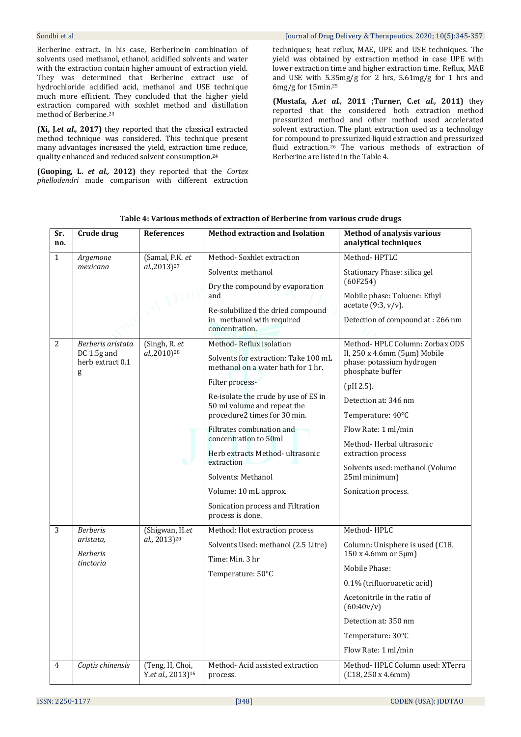Berberine extract. In his case, Berberinein combination of solvents used methanol, ethanol, acidified solvents and water with the extraction contain higher amount of extraction yield. They was determined that Berberine extract use of hydrochloride acidified acid, methanol and USE technique much more efficient. They concluded that the higher yield extraction compared with soxhlet method and distillation method of Berberine. 23

**(Xi, J.***et al.,* **2017)** they reported that the classical extracted method technique was considered. This technique present many advantages increased the yield, extraction time reduce, quality enhanced and reduced solvent consumption.<sup>24</sup>

**(Guoping, L.** *et al.,* **2012)** they reported that the *Cortex phellodendri* made comparison with different extraction

#### Sondhi et al Journal of Drug Delivery & Therapeutics. 2020; 10(5):345-357

techniques; heat reflux, MAE, UPE and USE techniques. The yield was obtained by extraction method in case UPE with lower extraction time and higher extraction time. Reflux, MAE and USE with 5.35mg/g for 2 hrs, 5.61mg/g for 1 hrs and 6mg/g for 15min.<sup>25</sup>

**(Mustafa, A.***et al.,* **2011 ;Turner, C.***et al.,* **2011)** they reported that the considered both extraction method pressurized method and other method used accelerated solvent extraction. The plant extraction used as a technology for compound to pressurized liquid extraction and pressurized fluid extraction.<sup>26</sup> The various methods of extraction of Berberine are listed in the Table 4.

| Sr.<br>no.     | Crude drug                           | <b>References</b>                                | <b>Method extraction and Isolation</b>                                           | <b>Method of analysis various</b><br>analytical techniques                    |
|----------------|--------------------------------------|--------------------------------------------------|----------------------------------------------------------------------------------|-------------------------------------------------------------------------------|
| $\mathbf{1}$   | Argemone                             | (Samal, P.K. et                                  | Method-Soxhlet extraction                                                        | Method-HPTLC                                                                  |
|                | mexicana                             | al.,2013) <sup>27</sup>                          | Solvents: methanol                                                               | Stationary Phase: silica gel                                                  |
|                |                                      |                                                  | Dry the compound by evaporation<br>and                                           | (60F254)<br>Mobile phase: Toluene: Ethyl                                      |
|                |                                      |                                                  | Re-solubilized the dried compound<br>in methanol with required<br>concentration. | acetate $(9:3, v/v)$ .<br>Detection of compound at: 266 nm                    |
| 2              | Berberis aristata                    | (Singh, R. et                                    | Method-Reflux isolation                                                          | Method-HPLC Column: Zorbax ODS                                                |
|                | DC 1.5g and<br>herb extract 0.1<br>g | al.,2010) <sup>28</sup>                          | Solvents for extraction: Take 100 mL<br>methanol on a water bath for 1 hr.       | II, 250 x 4.6mm (5μm) Mobile<br>phase: potassium hydrogen<br>phosphate buffer |
|                |                                      |                                                  | Filter process-                                                                  | $(pH 2.5)$ .                                                                  |
|                |                                      |                                                  | Re-isolate the crude by use of ES in<br>50 ml volume and repeat the              | Detection at: 346 nm                                                          |
|                |                                      |                                                  | procedure2 times for 30 min.                                                     | Temperature: 40°C                                                             |
|                |                                      |                                                  | Filtrates combination and                                                        | Flow Rate: 1 ml/min                                                           |
|                |                                      |                                                  | concentration to 50ml<br>Herb extracts Method-ultrasonic<br>extraction           | Method-Herbal ultrasonic                                                      |
|                |                                      |                                                  |                                                                                  | extraction process                                                            |
|                |                                      |                                                  | Solvents: Methanol                                                               | Solvents used: methanol (Volume<br>25ml minimum)                              |
|                |                                      |                                                  | Volume: 10 mL approx.                                                            | Sonication process.                                                           |
|                |                                      |                                                  | Sonication process and Filtration<br>process is done.                            |                                                                               |
| 3              | <b>Berberis</b>                      | (Shigwan, H.et)                                  | Method: Hot extraction process                                                   | Method-HPLC                                                                   |
|                | aristata,<br><b>Berberis</b>         | al., 2013) <sup>20</sup>                         | Solvents Used: methanol (2.5 Litre)                                              | Column: Unisphere is used (C18,<br>150 x 4.6mm or 5μm)                        |
|                | tinctoria                            |                                                  | Time: Min. 3 hr                                                                  | Mobile Phase:                                                                 |
|                |                                      |                                                  | Temperature: 50°C                                                                | 0.1% (trifluoroacetic acid)                                                   |
|                |                                      |                                                  |                                                                                  | Acetonitrile in the ratio of                                                  |
|                |                                      |                                                  |                                                                                  | (60:40v/v)                                                                    |
|                |                                      |                                                  |                                                                                  | Detection at: 350 nm                                                          |
|                |                                      |                                                  |                                                                                  | Temperature: 30°C                                                             |
|                |                                      |                                                  |                                                                                  | Flow Rate: 1 ml/min                                                           |
| $\overline{4}$ | Coptis chinensis                     | (Teng, H, Choi,<br>Y.et al., 2013) <sup>16</sup> | Method-Acid assisted extraction<br>process.                                      | Method-HPLC Column used: XTerra<br>(C18, 250 x 4.6mm)                         |

**Table 4: Various methods of extraction of Berberine from various crude drugs**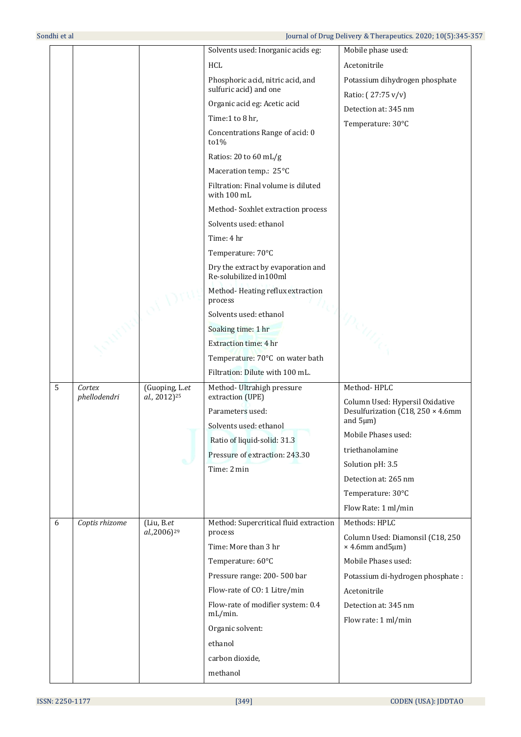|   |                        |                                            | Solvents used: Inorganic acids eg:                            | Mobile phase used:                                                   |
|---|------------------------|--------------------------------------------|---------------------------------------------------------------|----------------------------------------------------------------------|
|   |                        |                                            | HCL                                                           | Acetonitrile                                                         |
|   |                        |                                            | Phosphoric acid, nitric acid, and                             | Potassium dihydrogen phosphate                                       |
|   |                        |                                            | sulfuric acid) and one                                        | Ratio: (27:75 v/v)                                                   |
|   |                        |                                            | Organic acid eg: Acetic acid                                  | Detection at: 345 nm                                                 |
|   |                        |                                            | Time:1 to 8 hr,                                               | Temperature: 30°C                                                    |
|   |                        |                                            | Concentrations Range of acid: 0<br>to 1%                      |                                                                      |
|   |                        |                                            | Ratios: 20 to 60 mL/g                                         |                                                                      |
|   |                        |                                            | Maceration temp.: 25°C                                        |                                                                      |
|   |                        |                                            | Filtration: Final volume is diluted<br>with 100 mL            |                                                                      |
|   |                        |                                            | Method-Soxhlet extraction process                             |                                                                      |
|   |                        |                                            | Solvents used: ethanol                                        |                                                                      |
|   |                        |                                            | Time: 4 hr                                                    |                                                                      |
|   |                        |                                            | Temperature: 70°C                                             |                                                                      |
|   |                        |                                            | Dry the extract by evaporation and<br>Re-solubilized in 100ml |                                                                      |
|   |                        |                                            | Method-Heating reflux extraction<br>process                   |                                                                      |
|   |                        |                                            | Solvents used: ethanol                                        |                                                                      |
|   |                        |                                            | Soaking time: 1 hr                                            |                                                                      |
|   |                        |                                            | <b>Extraction time: 4 hr</b>                                  |                                                                      |
|   |                        |                                            | Temperature: 70°C on water bath                               |                                                                      |
|   |                        |                                            | Filtration: Dilute with 100 mL.                               |                                                                      |
| 5 | Cortex<br>phellodendri | (Guoping, L.et<br>al., 2012) <sup>25</sup> | Method- Ultrahigh pressure<br>extraction (UPE)                | Method-HPLC                                                          |
|   |                        |                                            | Parameters used:                                              | Column Used: Hypersil Oxidative<br>Desulfurization (C18, 250 × 4.6mm |
|   |                        |                                            | Solvents used: ethanol                                        | and $5 \mu m$ )                                                      |
|   |                        |                                            | Ratio of liquid-solid: 31.3                                   | Mobile Phases used:                                                  |
|   |                        |                                            | Pressure of extraction: 243.30                                | triethanolamine                                                      |
|   |                        |                                            | Time: 2 min                                                   | Solution pH: 3.5                                                     |
|   |                        |                                            |                                                               | Detection at: 265 nm                                                 |
|   |                        |                                            |                                                               | Temperature: 30°C                                                    |
|   |                        |                                            |                                                               | Flow Rate: 1 ml/min                                                  |
| 6 | Coptis rhizome         | (Liu, B.et)<br>al.,2006) <sup>29</sup>     | Method: Supercritical fluid extraction<br>process             | Methods: HPLC                                                        |
|   |                        |                                            | Time: More than 3 hr                                          | Column Used: Diamonsil (C18, 250<br>$\times$ 4.6mm and 5µm)          |
|   |                        |                                            | Temperature: 60°C                                             | Mobile Phases used:                                                  |
|   |                        |                                            | Pressure range: 200-500 bar                                   | Potassium di-hydrogen phosphate:                                     |
|   |                        |                                            | Flow-rate of CO: 1 Litre/min                                  | Acetonitrile                                                         |
|   |                        |                                            | Flow-rate of modifier system: 0.4<br>$mL/min$ .               | Detection at: 345 nm<br>Flow rate: 1 ml/min                          |
|   |                        |                                            | Organic solvent:                                              |                                                                      |
|   |                        |                                            | ethanol                                                       |                                                                      |
|   |                        |                                            | carbon dioxide,                                               |                                                                      |
|   |                        |                                            | methanol                                                      |                                                                      |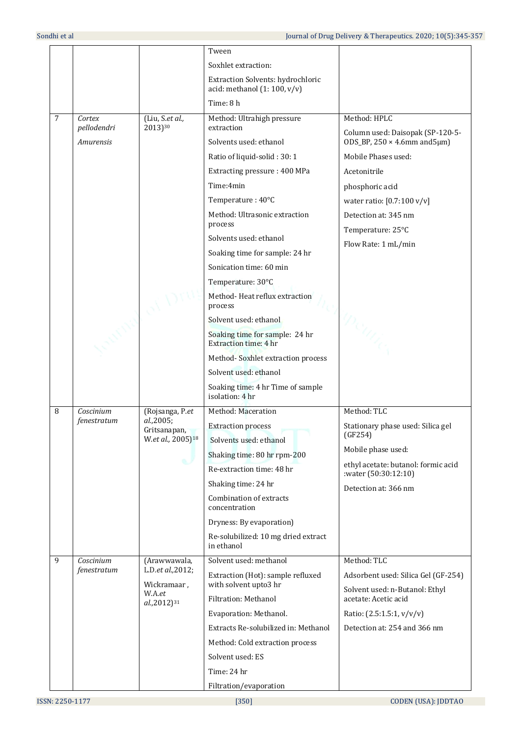|                |             |                                                            | Tween                                                              |                                                                       |
|----------------|-------------|------------------------------------------------------------|--------------------------------------------------------------------|-----------------------------------------------------------------------|
|                |             |                                                            | Soxhlet extraction:                                                |                                                                       |
|                |             |                                                            | Extraction Solvents: hydrochloric<br>acid: methanol $(1:100, v/v)$ |                                                                       |
|                |             |                                                            | Time: 8 h                                                          |                                                                       |
| $\overline{7}$ | Cortex      | (Liu, S.et al.,                                            | Method: Ultrahigh pressure                                         | Method: HPLC                                                          |
|                | pellodendri | 2013)30                                                    | extraction                                                         | Column used: Daisopak (SP-120-5-                                      |
|                | Amurensis   |                                                            | Solvents used: ethanol                                             | $ODS_BP, 250 \times 4.6mm$ and $5\mu$ m)                              |
|                |             |                                                            | Ratio of liquid-solid: 30: 1                                       | Mobile Phases used:                                                   |
|                |             |                                                            | Extracting pressure: 400 MPa                                       | Acetonitrile                                                          |
|                |             |                                                            | Time: 4min                                                         | phosphoric acid                                                       |
|                |             |                                                            | Temperature: 40°C                                                  | water ratio: [0.7:100 v/v]                                            |
|                |             |                                                            | Method: Ultrasonic extraction<br>process                           | Detection at: 345 nm                                                  |
|                |             |                                                            | Solvents used: ethanol                                             | Temperature: 25°C                                                     |
|                |             |                                                            | Soaking time for sample: 24 hr                                     | Flow Rate: 1 mL/min                                                   |
|                |             |                                                            | Sonication time: 60 min                                            |                                                                       |
|                |             |                                                            | Temperature: 30°C                                                  |                                                                       |
|                |             |                                                            | Method-Heat reflux extraction                                      |                                                                       |
|                |             |                                                            | process                                                            |                                                                       |
|                |             |                                                            | Solvent used: ethanol                                              |                                                                       |
|                |             |                                                            | Soaking time for sample: 24 hr<br><b>Extraction time: 4 hr</b>     |                                                                       |
|                |             |                                                            | Method-Soxhlet extraction process                                  |                                                                       |
|                |             |                                                            | Solvent used: ethanol                                              |                                                                       |
|                |             |                                                            | Soaking time: 4 hr Time of sample<br>isolation: 4 hr               |                                                                       |
| 8              | Coscinium   | (Rojsanga, P.et                                            | Method: Maceration                                                 | Method: TLC                                                           |
|                | fenestratum | al.,2005;<br>Gritsanapan,<br>W.et al., 2005) <sup>18</sup> | <b>Extraction process</b>                                          | Stationary phase used: Silica gel<br>(GF254)                          |
|                |             |                                                            | Solvents used: ethanol                                             | Mobile phase used:                                                    |
|                |             |                                                            | Shaking time: 80 hr rpm-200<br>Re-extraction time: 48 hr           | ethyl acetate: butanol: formic acid                                   |
|                |             |                                                            |                                                                    | :water (50:30:12:10)                                                  |
|                |             |                                                            | Shaking time: 24 hr<br>Combination of extracts                     | Detection at: 366 nm                                                  |
|                |             |                                                            | concentration                                                      |                                                                       |
|                |             |                                                            | Dryness: By evaporation)                                           |                                                                       |
|                |             |                                                            | Re-solubilized: 10 mg dried extract<br>in ethanol                  |                                                                       |
| 9              | Coscinium   | (Arawwawala,                                               | Solvent used: methanol                                             | Method: TLC                                                           |
|                | fenestratum | L.D.et al., 2012;<br>Wickramaar,                           | Extraction (Hot): sample refluxed<br>with solvent upto3 hr         | Adsorbent used: Silica Gel (GF-254)<br>Solvent used: n-Butanol: Ethyl |
|                |             | W.A.et<br>al.,2012) <sup>31</sup>                          | Filtration: Methanol                                               | acetate: Acetic acid                                                  |
|                |             |                                                            | Evaporation: Methanol.                                             | Ratio: (2.5:1.5:1, v/v/v)                                             |
|                |             |                                                            | Extracts Re-solubilized in: Methanol                               | Detection at: 254 and 366 nm                                          |
|                |             |                                                            | Method: Cold extraction process                                    |                                                                       |
|                |             |                                                            | Solvent used: ES                                                   |                                                                       |
|                |             |                                                            | Time: 24 hr                                                        |                                                                       |
|                |             |                                                            | Filtration/evaporation                                             |                                                                       |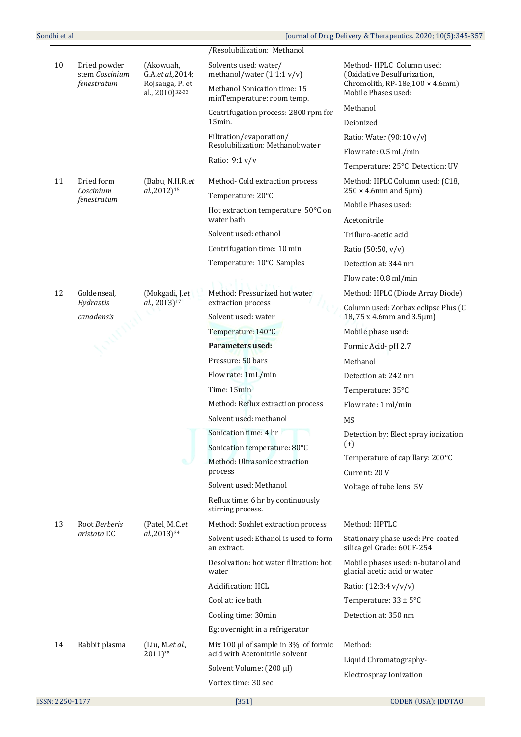|    |                                               |                                                   | /Resolubilization: Methanol                                  |                                                                                                     |
|----|-----------------------------------------------|---------------------------------------------------|--------------------------------------------------------------|-----------------------------------------------------------------------------------------------------|
| 10 | Dried powder<br>stem Coscinium<br>fenestratum | (Akowuah,<br>G.A.et al., 2014;<br>Rojsanga, P. et | Solvents used: water/<br>methanol/water $(1:1:1 v/v)$        | Method-HPLC Column used:<br>(Oxidative Desulfurization,<br>Chromolith, RP-18e, $100 \times 4.6$ mm) |
|    |                                               | al., 2010) <sup>32-33</sup>                       | Methanol Sonication time: 15<br>minTemperature: room temp.   | Mobile Phases used:                                                                                 |
|    |                                               |                                                   | Centrifugation process: 2800 rpm for                         | Methanol                                                                                            |
|    |                                               |                                                   | 15min.                                                       | Deionized                                                                                           |
|    |                                               |                                                   | Filtration/evaporation/<br>Resolubilization: Methanol: water | Ratio: Water (90:10 v/v)                                                                            |
|    |                                               |                                                   | Ratio: 9:1 v/v                                               | Flow rate: 0.5 mL/min                                                                               |
|    |                                               |                                                   |                                                              | Temperature: 25°C Detection: UV                                                                     |
| 11 | Dried form<br>Coscinium<br>fenestratum        | (Babu, N.H.R.et<br>al.,2012) <sup>15</sup>        | Method- Cold extraction process<br>Temperature: 20°C         | Method: HPLC Column used: (C18,<br>$250 \times 4.6$ mm and $5 \mu m$ )                              |
|    |                                               |                                                   | Hot extraction temperature: 50°C on                          | Mobile Phases used:                                                                                 |
|    |                                               |                                                   | water bath                                                   | Acetonitrile                                                                                        |
|    |                                               |                                                   | Solvent used: ethanol                                        | Trifluro-acetic acid                                                                                |
|    |                                               |                                                   | Centrifugation time: 10 min                                  | Ratio (50:50, v/v)                                                                                  |
|    |                                               |                                                   | Temperature: 10°C Samples                                    | Detection at: 344 nm                                                                                |
|    |                                               |                                                   |                                                              | Flow rate: 0.8 ml/min                                                                               |
| 12 | Goldenseal,                                   | (Mokgadi, J.et                                    | Method: Pressurized hot water                                | Method: HPLC (Diode Array Diode)                                                                    |
|    | Hydrastis<br>canadensis                       | al., 2013) <sup>17</sup>                          | extraction process<br>Solvent used: water                    | Column used: Zorbax eclipse Plus (C<br>18, 75 x 4.6mm and 3.5μm)                                    |
|    |                                               |                                                   | Temperature: 140°C                                           | Mobile phase used:                                                                                  |
|    |                                               |                                                   | <b>Parameters used:</b>                                      | Formic Acid- pH 2.7                                                                                 |
|    |                                               |                                                   | Pressure: 50 bars                                            | Methanol                                                                                            |
|    |                                               |                                                   | Flow rate: 1mL/min                                           | Detection at: 242 nm                                                                                |
|    |                                               |                                                   | Time: 15min                                                  | Temperature: 35°C                                                                                   |
|    |                                               |                                                   | Method: Reflux extraction process                            | Flow rate: 1 ml/min                                                                                 |
|    |                                               |                                                   | Solvent used: methanol                                       | MS                                                                                                  |
|    |                                               |                                                   | Sonication time: 4 hr                                        | Detection by: Elect spray ionization                                                                |
|    |                                               |                                                   | Sonication temperature: 80°C                                 | $(+)$                                                                                               |
|    |                                               |                                                   | Method: Ultrasonic extraction<br>process                     | Temperature of capillary: 200°C                                                                     |
|    |                                               |                                                   | Solvent used: Methanol                                       | Current: 20 V                                                                                       |
|    |                                               |                                                   | Reflux time: 6 hr by continuously                            | Voltage of tube lens: 5V                                                                            |
|    |                                               |                                                   | stirring process.                                            |                                                                                                     |
| 13 | Root Berberis                                 | (Patel, M.C.et                                    | Method: Soxhlet extraction process                           | Method: HPTLC                                                                                       |
|    | aristata DC                                   | al.,2013) <sup>34</sup>                           | Solvent used: Ethanol is used to form<br>an extract.         | Stationary phase used: Pre-coated<br>silica gel Grade: 60GF-254                                     |
|    |                                               |                                                   | Desolvation: hot water filtration: hot<br>water              | Mobile phases used: n-butanol and<br>glacial acetic acid or water                                   |
|    |                                               |                                                   | Acidification: HCL                                           | Ratio: (12:3:4 v/v/v)                                                                               |
|    |                                               |                                                   | Cool at: ice bath                                            | Temperature: $33 \pm 5^{\circ}$ C                                                                   |
|    |                                               |                                                   | Cooling time: 30min                                          | Detection at: 350 nm                                                                                |
|    |                                               |                                                   | Eg: overnight in a refrigerator                              |                                                                                                     |
| 14 | Rabbit plasma                                 | (Liu, M.et al.,                                   | Mix 100 $\mu$ l of sample in 3% of formic                    | Method:                                                                                             |
|    |                                               | 2011)35                                           | acid with Acetonitrile solvent                               | Liquid Chromatography-                                                                              |
|    |                                               |                                                   | Solvent Volume: (200 µl)                                     | Electrospray Ionization                                                                             |
|    |                                               |                                                   | Vortex time: 30 sec                                          |                                                                                                     |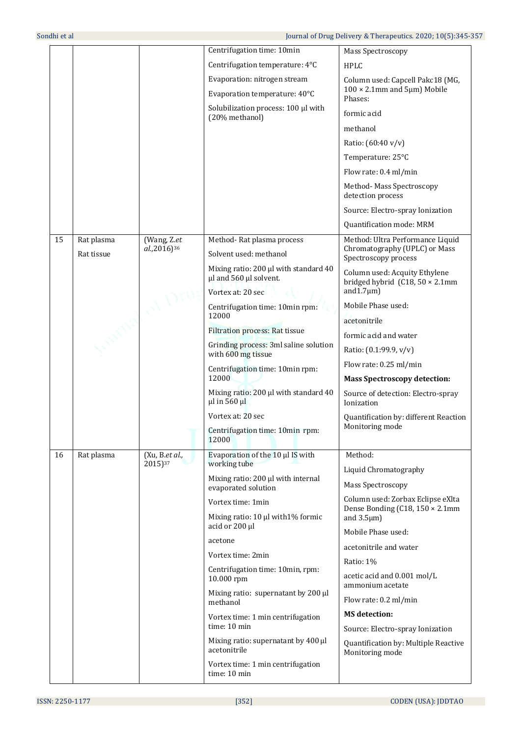|    |            |                                       | Centrifugation time: 10min                                      | Mass Spectroscopy                                                        |
|----|------------|---------------------------------------|-----------------------------------------------------------------|--------------------------------------------------------------------------|
|    |            |                                       | Centrifugation temperature: 4°C                                 | <b>HPLC</b>                                                              |
|    |            |                                       | Evaporation: nitrogen stream                                    | Column used: Capcell Pakc18 (MG,                                         |
|    |            |                                       | Evaporation temperature: 40°C                                   | $100 \times 2.1$ mm and $5 \mu$ m) Mobile<br>Phases:                     |
|    |            |                                       | Solubilization process: 100 µl with<br>(20% methanol)           | formic acid                                                              |
|    |            |                                       |                                                                 | methanol                                                                 |
|    |            |                                       |                                                                 | Ratio: (60:40 v/v)                                                       |
|    |            |                                       |                                                                 | Temperature: 25°C                                                        |
|    |            |                                       |                                                                 | Flow rate: 0.4 ml/min                                                    |
|    |            |                                       |                                                                 | Method- Mass Spectroscopy<br>detection process                           |
|    |            |                                       |                                                                 | Source: Electro-spray Ionization                                         |
|    |            |                                       |                                                                 | Quantification mode: MRM                                                 |
| 15 | Rat plasma | (Wang, Z.et                           | Method-Rat plasma process                                       | Method: Ultra Performance Liquid                                         |
|    | Rat tissue | al.,2016) <sup>36</sup>               | Solvent used: methanol                                          | Chromatography (UPLC) or Mass<br>Spectroscopy process                    |
|    |            |                                       | Mixing ratio: 200 µl with standard 40<br>µl and 560 µl solvent. | Column used: Acquity Ethylene<br>bridged hybrid $(C18, 50 \times 2.1$ mm |
|    |            |                                       | Vortex at: 20 sec                                               | and $1.7 \mu m$ )                                                        |
|    |            |                                       | Centrifugation time: 10min rpm:<br>12000                        | Mobile Phase used:                                                       |
|    |            |                                       | <b>Filtration process: Rat tissue</b>                           | acetonitrile                                                             |
|    |            |                                       | Grinding process: 3ml saline solution                           | formic acid and water                                                    |
|    |            |                                       | with 600 mg tissue                                              | Ratio: (0.1:99.9, v/v)                                                   |
|    |            |                                       | Centrifugation time: 10min rpm:                                 | Flow rate: 0.25 ml/min                                                   |
|    |            |                                       | 12000                                                           | <b>Mass Spectroscopy detection:</b>                                      |
|    |            |                                       | Mixing ratio: 200 µl with standard 40<br>µl in 560 µl           | Source of detection: Electro-spray<br>Ionization                         |
|    |            |                                       | Vortex at: 20 sec                                               | Quantification by: different Reaction<br>Monitoring mode                 |
|    |            |                                       | Centrifugation time: 10min rpm:<br>12000                        |                                                                          |
| 16 | Rat plasma | (Xu, B.et al.,<br>2015) <sup>37</sup> | Evaporation of the 10 µl IS with<br>working tube                | Method:                                                                  |
|    |            |                                       | Mixing ratio: 200 µl with internal                              | Liquid Chromatography                                                    |
|    |            |                                       | evaporated solution                                             | Mass Spectroscopy                                                        |
|    |            |                                       | Vortex time: 1min                                               | Column used: Zorbax Eclipse eXlta<br>Dense Bonding (C18, 150 × 2.1mm     |
|    |            |                                       | Mixing ratio: 10 µl with1% formic                               | and $3.5 \mu m$ )                                                        |
|    |            |                                       | acid or 200 µl                                                  | Mobile Phase used:                                                       |
|    |            |                                       | acetone<br>Vortex time: 2min                                    | acetonitrile and water                                                   |
|    |            |                                       | Centrifugation time: 10min, rpm:                                | Ratio: 1%                                                                |
|    |            |                                       | 10.000 rpm                                                      | acetic acid and 0.001 mol/L<br>ammonium acetate                          |
|    |            |                                       | Mixing ratio: supernatant by 200 µl<br>methanol                 | Flow rate: 0.2 ml/min                                                    |
|    |            |                                       | Vortex time: 1 min centrifugation                               | <b>MS</b> detection:                                                     |
|    |            |                                       | time: 10 min                                                    | Source: Electro-spray Ionization                                         |
|    |            |                                       | Mixing ratio: supernatant by 400 µl<br>acetonitrile             | Quantification by: Multiple Reactive<br>Monitoring mode                  |
|    |            |                                       | Vortex time: 1 min centrifugation<br>time: 10 min               |                                                                          |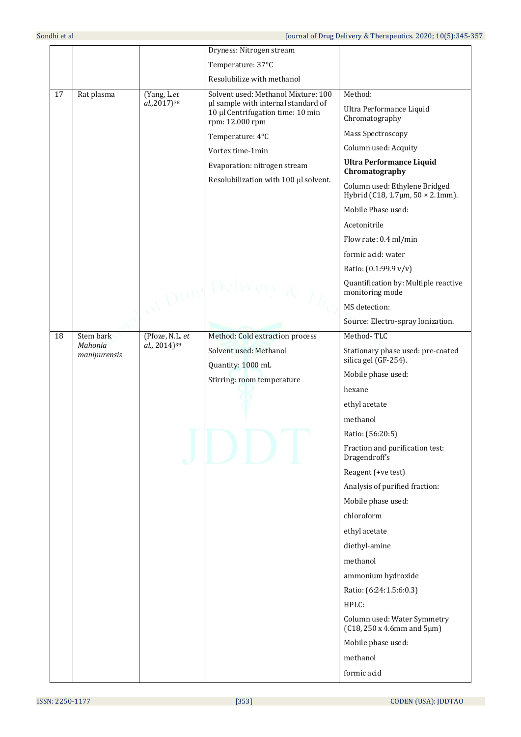|    |                         |                          | Dryness: Nitrogen stream                                                                    |                                                                         |
|----|-------------------------|--------------------------|---------------------------------------------------------------------------------------------|-------------------------------------------------------------------------|
|    |                         |                          | Temperature: 37°C                                                                           |                                                                         |
|    |                         |                          | Resolubilize with methanol                                                                  |                                                                         |
| 17 | Rat plasma              | (Yang, L.et              | Solvent used: Methanol Mixture: 100                                                         | Method:                                                                 |
|    |                         | al.,2017) <sup>38</sup>  | µl sample with internal standard of<br>10 µl Centrifugation time: 10 min<br>rpm: 12.000 rpm | Ultra Performance Liquid<br>Chromatography                              |
|    |                         |                          | Temperature: 4°C                                                                            | Mass Spectroscopy                                                       |
|    |                         |                          | Vortex time-1min                                                                            | Column used: Acquity                                                    |
|    |                         |                          | Evaporation: nitrogen stream                                                                | <b>Ultra Performance Liquid</b><br>Chromatography                       |
|    |                         |                          | Resolubilization with 100 µl solvent.                                                       | Column used: Ethylene Bridged<br>Hybrid (C18, 1.7 $\mu$ m, 50 × 2.1mm). |
|    |                         |                          |                                                                                             | Mobile Phase used:                                                      |
|    |                         |                          |                                                                                             | Acetonitrile                                                            |
|    |                         |                          |                                                                                             | Flow rate: 0.4 ml/min                                                   |
|    |                         |                          |                                                                                             | formic acid: water                                                      |
|    |                         |                          |                                                                                             | Ratio: (0.1:99.9 v/v)                                                   |
|    |                         |                          | Delivery <sub>d</sub> e                                                                     | Quantification by: Multiple reactive<br>monitoring mode                 |
|    |                         |                          |                                                                                             | MS detection:                                                           |
|    |                         |                          |                                                                                             | Source: Electro-spray Ionization.                                       |
| 18 | Stem bark               | (Pfoze, N.L. et          | Method: Cold extraction process                                                             | Method-TLC                                                              |
|    | Mahonia<br>manipurensis | al., 2014) <sup>39</sup> | Solvent used: Methanol<br>Quantity: 1000 mL                                                 | Stationary phase used: pre-coated<br>silica gel (GF-254).               |
|    |                         |                          | Stirring: room temperature                                                                  | Mobile phase used:                                                      |
|    |                         |                          |                                                                                             | hexane                                                                  |
|    |                         |                          |                                                                                             | ethyl acetate                                                           |
|    |                         |                          |                                                                                             | methanol                                                                |
|    |                         |                          |                                                                                             | Ratio: (56:20:5)                                                        |
|    |                         |                          |                                                                                             | Fraction and purification test:<br>Dragendroff's                        |
|    |                         |                          |                                                                                             | Reagent (+ve test)                                                      |
|    |                         |                          |                                                                                             | Analysis of purified fraction:                                          |
|    |                         |                          |                                                                                             | Mobile phase used:                                                      |
|    |                         |                          |                                                                                             | chloroform                                                              |
|    |                         |                          |                                                                                             | ethyl acetate                                                           |
|    |                         |                          |                                                                                             | diethyl-amine                                                           |
|    |                         |                          |                                                                                             | methanol                                                                |
|    |                         |                          |                                                                                             | ammonium hydroxide                                                      |
|    |                         |                          |                                                                                             | Ratio: (6:24:1.5:6:0.3)                                                 |
|    |                         |                          |                                                                                             | HPLC:                                                                   |
|    |                         |                          |                                                                                             | Column used: Water Symmetry<br>$(C18, 250 x 4.6 mm and 5 \mu m)$        |
|    |                         |                          |                                                                                             | Mobile phase used:                                                      |
|    |                         |                          |                                                                                             | methanol                                                                |
|    |                         |                          |                                                                                             | formic acid                                                             |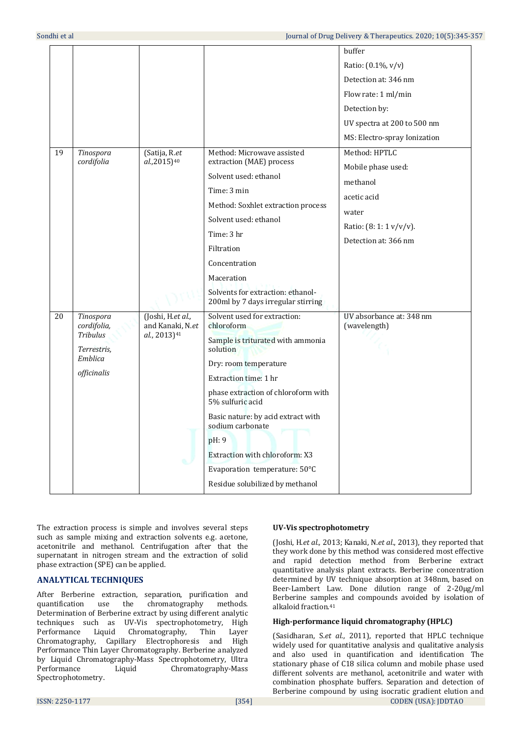| 19 | Tinospora<br>cordifolia                                                              | (Satija, R.et<br>al.,2015) <sup>40</sup>                          | Method: Microwave assisted<br>extraction (MAE) process                                                                                                                                                                                                                                                                                                                            | buffer<br>Ratio: (0.1%, v/v)<br>Detection at: 346 nm<br>Flow rate: 1 ml/min<br>Detection by:<br>UV spectra at 200 to 500 nm<br>MS: Electro-spray Ionization<br>Method: HPTLC |
|----|--------------------------------------------------------------------------------------|-------------------------------------------------------------------|-----------------------------------------------------------------------------------------------------------------------------------------------------------------------------------------------------------------------------------------------------------------------------------------------------------------------------------------------------------------------------------|------------------------------------------------------------------------------------------------------------------------------------------------------------------------------|
|    |                                                                                      |                                                                   | Solvent used: ethanol<br>Time: 3 min<br>Method: Soxhlet extraction process<br>Solvent used: ethanol<br>Time: 3 hr<br>Filtration<br>Concentration<br>Maceration<br>Solvents for extraction: ethanol-<br>200ml by 7 days irregular stirring                                                                                                                                         | Mobile phase used:<br>methanol<br>acetic acid<br>water<br>Ratio: (8: 1: 1 v/v/v).<br>Detection at: 366 nm                                                                    |
| 20 | Tinospora<br>cordifolia,<br><b>Tribulus</b><br>Terrestris.<br>Emblica<br>officinalis | (Joshi, H.et al.,<br>and Kanaki, N.et<br>al., 2013) <sup>41</sup> | Solvent used for extraction:<br>chloroform<br>Sample is triturated with ammonia<br>solution<br>Dry: room temperature<br>Extraction time: 1 hr<br>phase extraction of chloroform with<br>5% sulfuric acid<br>Basic nature: by acid extract with<br>sodium carbonate<br>pH: 9<br>Extraction with chloroform: X3<br>Evaporation temperature: 50°C<br>Residue solubilized by methanol | UV absorbance at: 348 nm<br>(wavelength)                                                                                                                                     |

The extraction process is simple and involves several steps such as sample mixing and extraction solvents e.g. acetone, acetonitrile and methanol. Centrifugation after that the supernatant in nitrogen stream and the extraction of solid phase extraction (SPE) can be applied.

# **ANALYTICAL TECHNIQUES**

After Berberine extraction, separation, purification and quantification use the chromatography methods. Determination of Berberine extract by using different analytic techniques such as UV-Vis spectrophotometry, High Performance Liquid Chromatography, Thin Layer Chromatography, Capillary Electrophoresis and High Performance Thin Layer Chromatography. Berberine analyzed by Liquid Chromatography-Mass Spectrophotometry, Ultra Performance Liquid Chromatography-Mass Spectrophotometry.

## **UV-Vis spectrophotometry**

(Joshi, H.*et al.,* 2013; Kanaki, N.*et al*., 2013), they reported that they work done by this method was considered most effective and rapid detection method from Berberine extract quantitative analysis plant extracts. Berberine concentration determined by UV technique absorption at 348nm, based on Beer-Lambert Law. Done dilution range of 2-20µg/ml Berberine samples and compounds avoided by isolation of alkaloid fraction.<sup>41</sup>

# **High-performance liquid chromatography (HPLC)**

ISSN: 2250-1177 [354] CODEN (USA): JDDTAO (Sasidharan, S.*et al*., 2011), reported that HPLC technique widely used for quantitative analysis and qualitative analysis and also used in quantification and identification The stationary phase of C18 silica column and mobile phase used different solvents are methanol, acetonitrile and water with combination phosphate buffers. Separation and detection of Berberine compound by using isocratic gradient elution and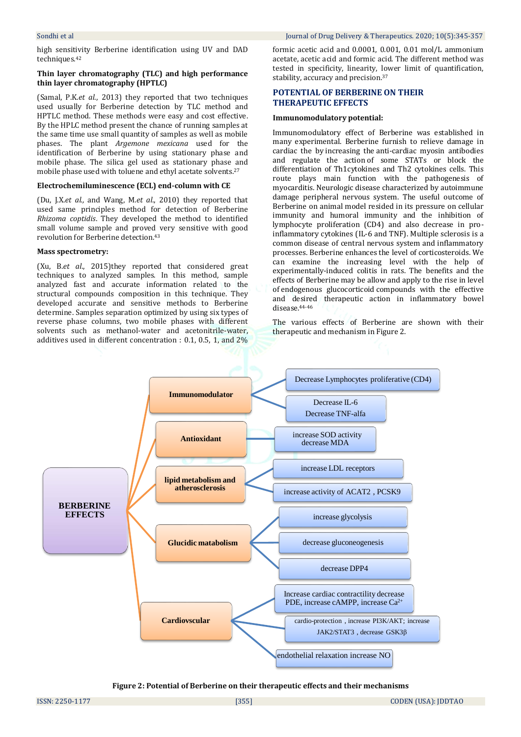high sensitivity Berberine identification using UV and DAD techniques.<sup>42</sup>

#### **Thin layer chromatography (TLC) and high performance thin layer chromatography (HPTLC)**

(Samal, P.K.*et al*., 2013) they reported that two techniques used usually for Berberine detection by TLC method and HPTLC method. These methods were easy and cost effective. By the HPLC method present the chance of running samples at the same time use small quantity of samples as well as mobile phases. The plant *Argemone mexicana* used for the identification of Berberine by using stationary phase and mobile phase. The silica gel used as stationary phase and mobile phase used with toluene and ethyl acetate solvents.<sup>27</sup>

#### **Electrochemiluminescence (ECL) end-column with CE**

(Du, J.X.*et al.,* and Wang, M.*et al*., 2010) they reported that used same principles method for detection of Berberine *Rhizoma coptidis*. They developed the method to identified small volume sample and proved very sensitive with good revolution for Berberine detection. 43

#### **Mass spectrometry:**

(Xu, B.*et al*., 2015)they reported that considered great techniques to analyzed samples. In this method, sample analyzed fast and accurate information related to the structural compounds composition in this technique. They developed accurate and sensitive methods to Berberine determine. Samples separation optimized by using six types of reverse phase columns, two mobile phases with different solvents such as methanol-water and acetonitrile-water, additives used in different concentration : 0.1, 0.5, 1, and 2% formic acetic acid and 0.0001, 0.001, 0.01 mol/L ammonium acetate, acetic acid and formic acid. The different method was tested in specificity, linearity, lower limit of quantification, stability, accuracy and precision. 37

#### **POTENTIAL OF BERBERINE ON THEIR THERAPEUTIC EFFECTS**

#### **Immunomodulatory potential:**

Immunomodulatory effect of Berberine was established in many experimental. Berberine furnish to relieve damage in cardiac the by increasing the anti-cardiac myosin antibodies and regulate the action of some STATs or block the differentiation of Th1cytokines and Th2 cytokines cells. This route plays main function with the pathogenesis of myocarditis. Neurologic disease characterized by autoimmune damage peripheral nervous system. The useful outcome of Berberine on animal model resided in its pressure on cellular immunity and humoral immunity and the inhibition of lymphocyte proliferation (CD4) and also decrease in proinflammatory cytokines (IL-6 and TNF). Multiple sclerosis is a common disease of central nervous system and inflammatory processes. Berberine enhances the level of corticosteroids. We can examine the increasing level with the help of experimentally-induced colitis in rats. The benefits and the effects of Berberine may be allow and apply to the rise in level of endogenous glucocorticoid compounds with the effective and desired therapeutic action in inflammatory bowel disease.44-46

The various effects of Berberine are shown with their therapeutic and mechanism in Figure 2.



**Figure 2: Potential of Berberine on their therapeutic effects and their mechanisms**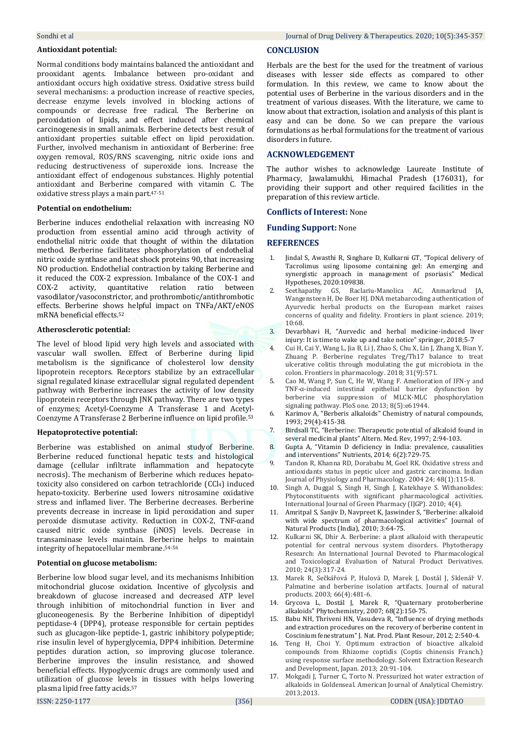#### **Antioxidant potential:**

Normal conditions body maintains balanced the antioxidant and prooxidant agents. Imbalance between pro-oxidant and antioxidant occurs high oxidative stress. Oxidative stress build several mechanisms: a production increase of reactive species, decrease enzyme levels involved in blocking actions of compounds or decrease free radical. The Berberine on peroxidation of lipids, and effect induced after chemical carcinogenesis in small animals. Berberine detects best result of antioxidant properties suitable effect on lipid peroxidation. Further, involved mechanism in antioxidant of Berberine: free oxygen removal, ROS/RNS scavenging, nitric oxide ions and reducing destructiveness of superoxide ions. Increase the antioxidant effect of endogenous substances. Highly potential antioxidant and Berberine compared with vitamin C. The oxidative stress plays a main part. 47-51

#### **Potential on endothelium:**

Berberine induces endothelial relaxation with increasing NO production from essential amino acid through activity of endothelial nitric oxide that thought of within the dilatation method. Berberine facilitates phosphorylation of endothelial nitric oxide synthase and heat shock proteins 90, that increasing NO production. Endothelial contraction by taking Berberine and it reduced the COX-2 expression. Imbalance of the COX-1 and COX-2 activity, quantitative relation ratio between vasodilator/vasoconstrictor, and prothrombotic/antithrombotic effects. Berberine shows helpful impact on TNFa/AKT/eNOS mRNA beneficial effects.<sup>52</sup>

#### **Atherosclerotic potential:**

The level of blood lipid very high levels and associated with vascular wall swollen. Effect of Berberine during lipid metabolism is the significance of cholesterol low density lipoprotein receptors. Receptors stabilize by an extracellular signal regulated kinase extracellular signal regulated dependent pathway with Berberine increases the activity of low density lipoprotein receptors through JNK pathway. There are two types of enzymes; Acetyl-Coenzyme A Transferase 1 and Acetyl-Coenzyme A Transferase 2 Berberine influence on lipid profile.<sup>53</sup>

#### **Hepatoprotective potential:**

Berberine was established on animal studyof Berberine. Berberine reduced functional hepatic tests and histological damage (cellular infiltrate inflammation and hepatocyte necrosis). The mechanism of Berberine which reduces hepatotoxicity also considered on carbon tetrachloride (CCl4) induced hepato-toxicity. Berberine used lowers nitrosamine oxidative stress and inflamed liver. The Berberine decreases. Berberine prevents decrease in increase in lipid peroxidation and super peroxide dismutase activity. Reduction in COX-2, TNF-αand caused nitric oxide synthase (iNOS) levels. Decrease in transaminase levels maintain. Berberine helps to maintain integrity of hepatocellular membrane. 54-56

#### **Potential on glucose metabolism:**

Berberine low blood sugar level, and its mechanisms Inhibition mitochondrial glucose oxidation. Incentive of glycolysis and breakdown of glucose increased and decreased ATP level through inhibition of mitochondrial function in liver and gluconeogenesis. By the Berberine Inhibition of dipeptidyl peptidase-4 (DPP4), protease responsible for certain peptides such as glucagon-like peptide-1, gastric inhibitory polypeptide; rise insulin level of hyperglycemia, DPP4 inhibition. Determine peptides duration action, so improving glucose tolerance. Berberine improves the insulin resistance, and showed beneficial effects. Hypoglycemic drugs are commonly used and utilization of glucose levels in tissues with helps lowering plasma lipid free fatty acids.<sup>57</sup>

#### **CONCLUSION**

Herbals are the best for the used for the treatment of various diseases with lesser side effects as compared to other formulation. In this review, we came to know about the potential uses of Berberine in the various disorders and in the treatment of various diseases. With the literature, we came to know about that extraction, isolation and analysis of this plant is easy and can be done. So we can prepare the various formulations as herbal formulations for the treatment of various disorders in future.

#### **ACKNOWLEDGEMENT**

The author wishes to acknowledge Laureate Institute of Pharmacy, Jawalamukhi, Himachal Pradesh (176031), for providing their support and other required facilities in the preparation of this review article.

#### **Conflicts of Interest:** None

**Funding Support:** None

## **REFERENCES**

- Jindal S, Awasthi R, Singhare D, Kulkarni GT, "Topical delivery of Tacrolimus using liposome containing gel: An emerging and synergistic approach in management of psoriasis" Medical Hypotheses, 2020:109838.
- 2. Seethapathy GS, Raclariu-Manolica AC, Anmarkrud JA, Wangensteen H, De Boer HJ. DNA metabarcoding authentication of Ayurvedic herbal products on the European market raises concerns of quality and fidelity. Frontiers in plant science. 2019; 10:68.
- 3. Devarbhavi H, "Aurvedic and herbal medicine-induced liver injury: It is time to wake up and take notice" springer, 2018;5-7
- 4. Cui H, Cai Y, Wang L, Jia B, Li J, Zhao S, Chu X, Lin J, Zhang X, Bian Y, Zhuang P. Berberine regulates Treg/Th17 balance to treat ulcerative colitis through modulating the gut microbiota in the colon. Frontiers in pharmacology. 2018; 31(9):571.
- 5. Cao M, Wang P, Sun C, He W, Wang F. Amelioration of IFN-γ and TNF-α-induced intestinal epithelial barrier dysfunction by berberine via suppression of MLCK-MLC phosphorylation signaling pathway. PloS one. 2013; 8(5):e61944.
- 6. Karimov A, "Berberis alkaloids" Chemistry of natural compounds, 1993; 29(4):415-38.
- 7. Birdsall TC, "Berberine: Therapeutic potential of alkaloid found in several medicinal plants" Altern. Med. Rev, 1997; 2:94-103.
- 8. Gupta A, "Vitamin D deficiency in India: prevalence, causalities and interventions" Nutrients, 2014; 6(2):729-75.
- 9. Tandon R, Khanna RD, Dorababu M, Goel RK. Oxidative stress and antioxidants status in peptic ulcer and gastric carcinoma. Indian Journal of Physiology and Pharmacology. 2004 24; 48(1):115-8.
- 10. Singh A, Duggal S, Singh H, Singh J, Katekhaye S. Withanolides: Phytoconstituents with significant pharmacological activities. International Journal of Green Pharmacy (IJGP). 2010; 4(4).
- 11. Amritpal S, Sanjiv D, Navpreet K, Jaswinder S, "Berberine: alkaloid with wide spectrum of pharmacological activities" Journal of Natural Products (India), 2010; 3:64-75.
- 12. Kulkarni SK, Dhir A. Berberine: a plant alkaloid with therapeutic potential for central nervous system disorders. Phytotherapy Research: An International Journal Devoted to Pharmacological and Toxicological Evaluation of Natural Product Derivatives. 2010; 24(3):317-24.
- 13. Marek R, Sečkářová P, Hulová D, Marek J, Dostál J, Sklenář V, Palmatine and berberine isolation artifacts. Journal of natural products. 2003; 66(4):481-6.
- 14. Grycova L, Dostál J, Marek R, "Quaternary protoberberine alkaloids" Phytochemistry, 2007; 68(2):150-75.
- 15. Babu NH, Thriveni HN, Vasudeva R, "Influence of drying methods and extraction procedures on the recovery of berberine content in Coscinium fenestratum" J. Nat. Prod. Plant Resour, 2012; 2:540-4.
- 16. Teng H, Choi Y. Optimum extraction of bioactive alkaloid compounds from Rhizome coptidis (Coptis chinensis Franch.) using response surface methodology. Solvent Extraction Research and Development, Japan. 2013; 20:91-104.
- 17. Mokgadi J, Turner C, Torto N. Pressurized hot water extraction of alkaloids in Goldenseal. American Journal of Analytical Chemistry. 2013;2013.